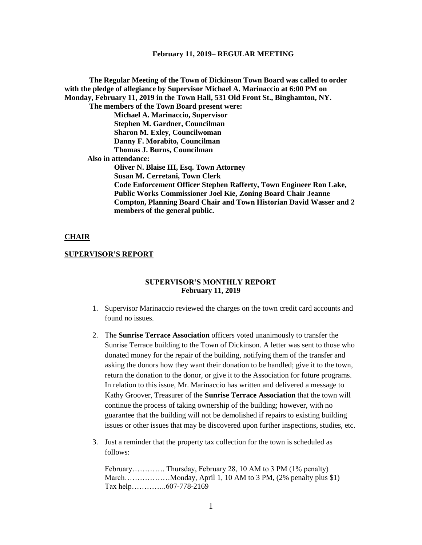**The Regular Meeting of the Town of Dickinson Town Board was called to order with the pledge of allegiance by Supervisor Michael A. Marinaccio at 6:00 PM on Monday, February 11, 2019 in the Town Hall, 531 Old Front St., Binghamton, NY. The members of the Town Board present were: Michael A. Marinaccio, Supervisor Stephen M. Gardner, Councilman Sharon M. Exley, Councilwoman Danny F. Morabito, Councilman Thomas J. Burns, Councilman Also in attendance: Oliver N. Blaise III, Esq. Town Attorney Susan M. Cerretani, Town Clerk Code Enforcement Officer Stephen Rafferty, Town Engineer Ron Lake, Public Works Commissioner Joel Kie, Zoning Board Chair Jeanne Compton, Planning Board Chair and Town Historian David Wasser and 2 members of the general public.**

#### **CHAIR**

#### **SUPERVISOR'S REPORT**

## **SUPERVISOR'S MONTHLY REPORT February 11, 2019**

- 1. Supervisor Marinaccio reviewed the charges on the town credit card accounts and found no issues.
- 2. The **Sunrise Terrace Association** officers voted unanimously to transfer the Sunrise Terrace building to the Town of Dickinson. A letter was sent to those who donated money for the repair of the building, notifying them of the transfer and asking the donors how they want their donation to be handled; give it to the town, return the donation to the donor, or give it to the Association for future programs. In relation to this issue, Mr. Marinaccio has written and delivered a message to Kathy Groover, Treasurer of the **Sunrise Terrace Association** that the town will continue the process of taking ownership of the building; however, with no guarantee that the building will not be demolished if repairs to existing building issues or other issues that may be discovered upon further inspections, studies, etc.
- 3. Just a reminder that the property tax collection for the town is scheduled as follows:

February…………. Thursday, February 28, 10 AM to 3 PM (1% penalty) March………………Monday, April 1, 10 AM to 3 PM, (2% penalty plus \$1) Tax help…………..607-778-2169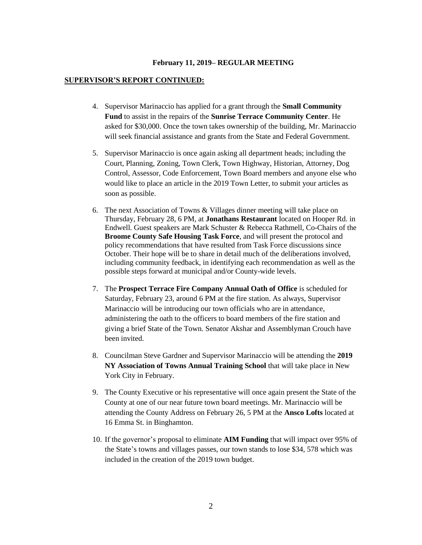#### **SUPERVISOR'S REPORT CONTINUED:**

- 4. Supervisor Marinaccio has applied for a grant through the **Small Community Fund** to assist in the repairs of the **Sunrise Terrace Community Center**. He asked for \$30,000. Once the town takes ownership of the building, Mr. Marinaccio will seek financial assistance and grants from the State and Federal Government.
- 5. Supervisor Marinaccio is once again asking all department heads; including the Court, Planning, Zoning, Town Clerk, Town Highway, Historian, Attorney, Dog Control, Assessor, Code Enforcement, Town Board members and anyone else who would like to place an article in the 2019 Town Letter, to submit your articles as soon as possible.
- 6. The next Association of Towns & Villages dinner meeting will take place on Thursday, February 28, 6 PM, at **Jonathans Restaurant** located on Hooper Rd. in Endwell. Guest speakers are Mark Schuster & Rebecca Rathmell, Co-Chairs of the **Broome County Safe Housing Task Force**, and will present the protocol and policy recommendations that have resulted from Task Force discussions since October. Their hope will be to share in detail much of the deliberations involved, including community feedback, in identifying each recommendation as well as the possible steps forward at municipal and/or County-wide levels.
- 7. The **Prospect Terrace Fire Company Annual Oath of Office** is scheduled for Saturday, February 23, around 6 PM at the fire station. As always, Supervisor Marinaccio will be introducing our town officials who are in attendance, administering the oath to the officers to board members of the fire station and giving a brief State of the Town. Senator Akshar and Assemblyman Crouch have been invited.
- 8. Councilman Steve Gardner and Supervisor Marinaccio will be attending the **2019 NY Association of Towns Annual Training School** that will take place in New York City in February.
- 9. The County Executive or his representative will once again present the State of the County at one of our near future town board meetings. Mr. Marinaccio will be attending the County Address on February 26, 5 PM at the **Ansco Lofts** located at 16 Emma St. in Binghamton.
- 10. If the governor's proposal to eliminate **AIM Funding** that will impact over 95% of the State's towns and villages passes, our town stands to lose \$34, 578 which was included in the creation of the 2019 town budget.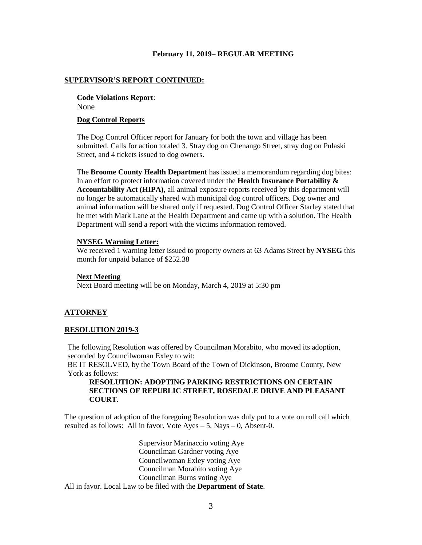#### **SUPERVISOR'S REPORT CONTINUED:**

**Code Violations Report**: None

#### **Dog Control Reports**

The Dog Control Officer report for January for both the town and village has been submitted. Calls for action totaled 3. Stray dog on Chenango Street, stray dog on Pulaski Street, and 4 tickets issued to dog owners.

The **Broome County Health Department** has issued a memorandum regarding dog bites: In an effort to protect information covered under the **Health Insurance Portability & Accountability Act (HIPA)**, all animal exposure reports received by this department will no longer be automatically shared with municipal dog control officers. Dog owner and animal information will be shared only if requested. Dog Control Officer Starley stated that he met with Mark Lane at the Health Department and came up with a solution. The Health Department will send a report with the victims information removed.

## **NYSEG Warning Letter:**

We received 1 warning letter issued to property owners at 63 Adams Street by **NYSEG** this month for unpaid balance of \$252.38

#### **Next Meeting**

Next Board meeting will be on Monday, March 4, 2019 at 5:30 pm

## **ATTORNEY**

## **RESOLUTION 2019-3**

The following Resolution was offered by Councilman Morabito, who moved its adoption, seconded by Councilwoman Exley to wit:

BE IT RESOLVED, by the Town Board of the Town of Dickinson, Broome County, New York as follows:

# **RESOLUTION: ADOPTING PARKING RESTRICTIONS ON CERTAIN SECTIONS OF REPUBLIC STREET, ROSEDALE DRIVE AND PLEASANT COURT.**

The question of adoption of the foregoing Resolution was duly put to a vote on roll call which resulted as follows: All in favor. Vote  $Aves - 5$ , Nays  $-0$ , Absent-0.

Supervisor Marinaccio voting Aye Councilman Gardner voting Aye Councilwoman Exley voting Aye Councilman Morabito voting Aye Councilman Burns voting Aye All in favor. Local Law to be filed with the **Department of State**.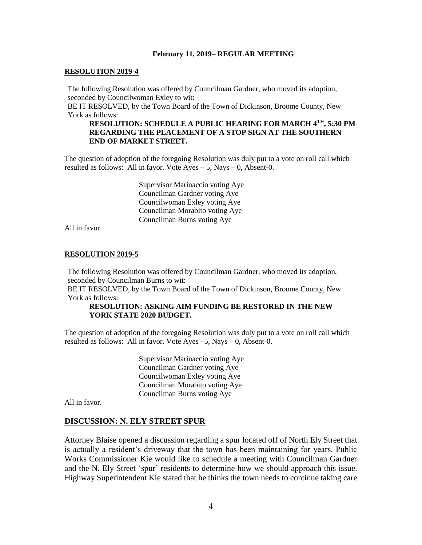## **RESOLUTION 2019-4**

The following Resolution was offered by Councilman Gardner, who moved its adoption, seconded by Councilwoman Exley to wit:

BE IT RESOLVED, by the Town Board of the Town of Dickinson, Broome County, New York as follows:

# **RESOLUTION: SCHEDULE A PUBLIC HEARING FOR MARCH 4TH, 5:30 PM REGARDING THE PLACEMENT OF A STOP SIGN AT THE SOUTHERN END OF MARKET STREET.**

The question of adoption of the foregoing Resolution was duly put to a vote on roll call which resulted as follows: All in favor. Vote  $Ayes - 5$ , Nays  $- 0$ , Absent-0.

> Supervisor Marinaccio voting Aye Councilman Gardner voting Aye Councilwoman Exley voting Aye Councilman Morabito voting Aye Councilman Burns voting Aye

All in favor.

## **RESOLUTION 2019-5**

The following Resolution was offered by Councilman Gardner, who moved its adoption, seconded by Councilman Burns to wit:

BE IT RESOLVED, by the Town Board of the Town of Dickinson, Broome County, New York as follows:

## **RESOLUTION: ASKING AIM FUNDING BE RESTORED IN THE NEW YORK STATE 2020 BUDGET.**

The question of adoption of the foregoing Resolution was duly put to a vote on roll call which resulted as follows: All in favor. Vote Ayes –5, Nays – 0, Absent-0.

> Supervisor Marinaccio voting Aye Councilman Gardner voting Aye Councilwoman Exley voting Aye Councilman Morabito voting Aye Councilman Burns voting Aye

All in favor.

## **DISCUSSION: N. ELY STREET SPUR**

Attorney Blaise opened a discussion regarding a spur located off of North Ely Street that is actually a resident's driveway that the town has been maintaining for years. Public Works Commissioner Kie would like to schedule a meeting with Councilman Gardner and the N. Ely Street 'spur' residents to determine how we should approach this issue. Highway Superintendent Kie stated that he thinks the town needs to continue taking care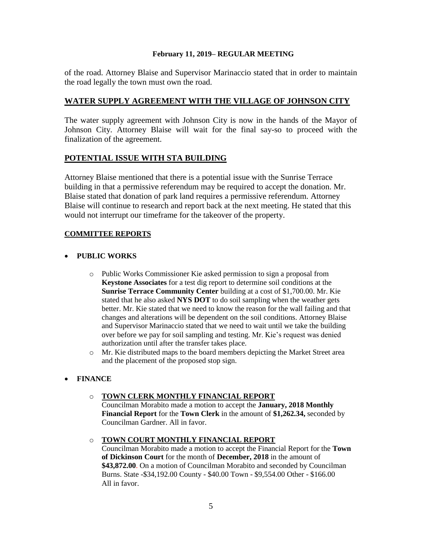of the road. Attorney Blaise and Supervisor Marinaccio stated that in order to maintain the road legally the town must own the road.

# **WATER SUPPLY AGREEMENT WITH THE VILLAGE OF JOHNSON CITY**

The water supply agreement with Johnson City is now in the hands of the Mayor of Johnson City. Attorney Blaise will wait for the final say-so to proceed with the finalization of the agreement.

# **POTENTIAL ISSUE WITH STA BUILDING**

Attorney Blaise mentioned that there is a potential issue with the Sunrise Terrace building in that a permissive referendum may be required to accept the donation. Mr. Blaise stated that donation of park land requires a permissive referendum. Attorney Blaise will continue to research and report back at the next meeting. He stated that this would not interrupt our timeframe for the takeover of the property.

# **COMMITTEE REPORTS**

# • **PUBLIC WORKS**

- o Public Works Commissioner Kie asked permission to sign a proposal from **Keystone Associates** for a test dig report to determine soil conditions at the **Sunrise Terrace Community Center** building at a cost of \$1,700.00. Mr. Kie stated that he also asked **NYS DOT** to do soil sampling when the weather gets better. Mr. Kie stated that we need to know the reason for the wall failing and that changes and alterations will be dependent on the soil conditions. Attorney Blaise and Supervisor Marinaccio stated that we need to wait until we take the building over before we pay for soil sampling and testing. Mr. Kie's request was denied authorization until after the transfer takes place.
- o Mr. Kie distributed maps to the board members depicting the Market Street area and the placement of the proposed stop sign.

# • **FINANCE**

# o **TOWN CLERK MONTHLY FINANCIAL REPORT**

Councilman Morabito made a motion to accept the **January, 2018 Monthly Financial Report** for the **Town Clerk** in the amount of **\$1,262.34,** seconded by Councilman Gardner. All in favor.

# o **TOWN COURT MONTHLY FINANCIAL REPORT**

Councilman Morabito made a motion to accept the Financial Report for the **Town of Dickinson Court** for the month of **December, 2018** in the amount of **\$43,872.00**. On a motion of Councilman Morabito and seconded by Councilman Burns. State -\$34,192.00 County - \$40.00 Town - \$9,554.00 Other - \$166.00 All in favor.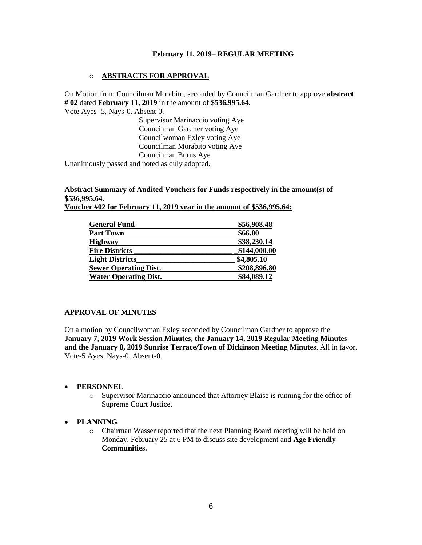# o **ABSTRACTS FOR APPROVAL**

On Motion from Councilman Morabito, seconded by Councilman Gardner to approve **abstract # 02** dated **February 11, 2019** in the amount of **\$536.995.64.**

Vote Ayes- 5, Nays-0, Absent-0.

Supervisor Marinaccio voting Aye Councilman Gardner voting Aye Councilwoman Exley voting Aye Councilman Morabito voting Aye Councilman Burns Aye

Unanimously passed and noted as duly adopted.

**Abstract Summary of Audited Vouchers for Funds respectively in the amount(s) of \$536,995.64.** 

| Voucher #02 for February 11, 2019 year in the amount of \$536,995.64: |
|-----------------------------------------------------------------------|
|-----------------------------------------------------------------------|

| <b>General Fund</b>          | \$56,908.48  |
|------------------------------|--------------|
| <b>Part Town</b>             | \$66.00      |
| <b>Highway</b>               | \$38,230.14  |
| <b>Fire Districts</b>        | \$144,000.00 |
| <b>Light Districts</b>       | \$4,805.10   |
| <b>Sewer Operating Dist.</b> | \$208,896.80 |
| <b>Water Operating Dist.</b> | \$84,089.12  |

# **APPROVAL OF MINUTES**

On a motion by Councilwoman Exley seconded by Councilman Gardner to approve the **January 7, 2019 Work Session Minutes, the January 14, 2019 Regular Meeting Minutes and the January 8, 2019 Sunrise Terrace/Town of Dickinson Meeting Minutes**. All in favor. Vote-5 Ayes, Nays-0, Absent-0.

# • **PERSONNEL**

o Supervisor Marinaccio announced that Attorney Blaise is running for the office of Supreme Court Justice.

# • **PLANNING**

o Chairman Wasser reported that the next Planning Board meeting will be held on Monday, February 25 at 6 PM to discuss site development and **Age Friendly Communities.**